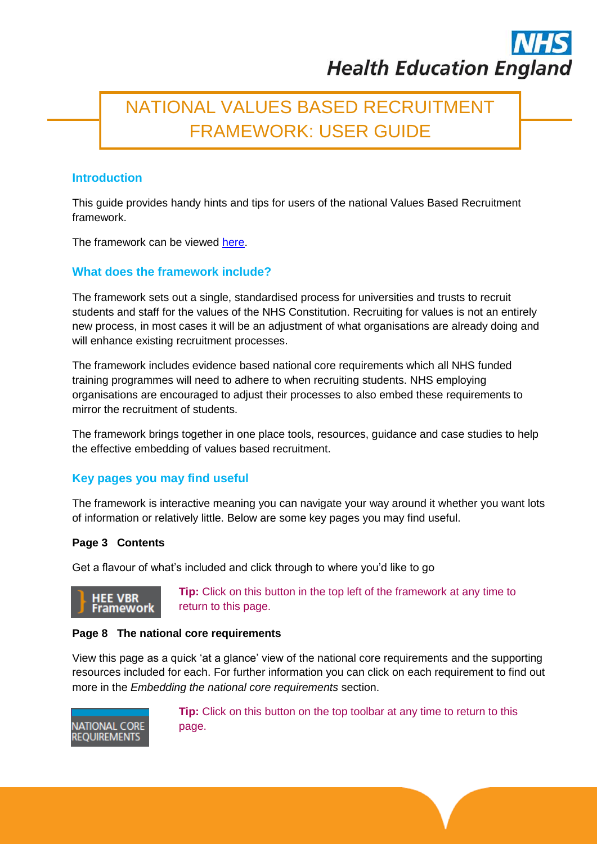# NATIONAL VALUES BASED RECRUITMENT FRAMEWORK: USER GUIDE

# **Introduction**

This guide provides handy hints and tips for users of the national Values Based Recruitment framework.

The framework can be viewed [here.](http://hee.nhs.uk/work-programmes/values-based-recruitment/national-vbr-framework/)

# **What does the framework include?**

The framework sets out a single, standardised process for universities and trusts to recruit students and staff for the values of the NHS Constitution. Recruiting for values is not an entirely new process, in most cases it will be an adjustment of what organisations are already doing and will enhance existing recruitment processes.

The framework includes evidence based national core requirements which all NHS funded training programmes will need to adhere to when recruiting students. NHS employing organisations are encouraged to adjust their processes to also embed these requirements to mirror the recruitment of students.

The framework brings together in one place tools, resources, guidance and case studies to help the effective embedding of values based recruitment.

# **Key pages you may find useful**

The framework is interactive meaning you can navigate your way around it whether you want lots of information or relatively little. Below are some key pages you may find useful.

## **Page 3 Contents**

Get a flavour of what's included and click through to where you'd like to go



**Tip:** Click on this button in the top left of the framework at any time to return to this page.

## **Page 8 The national core requirements**

View this page as a quick 'at a glance' view of the national core requirements and the supporting resources included for each. For further information you can click on each requirement to find out more in the *Embedding the national core requirements* section.



**Tip:** Click on this button on the top toolbar at any time to return to this page.